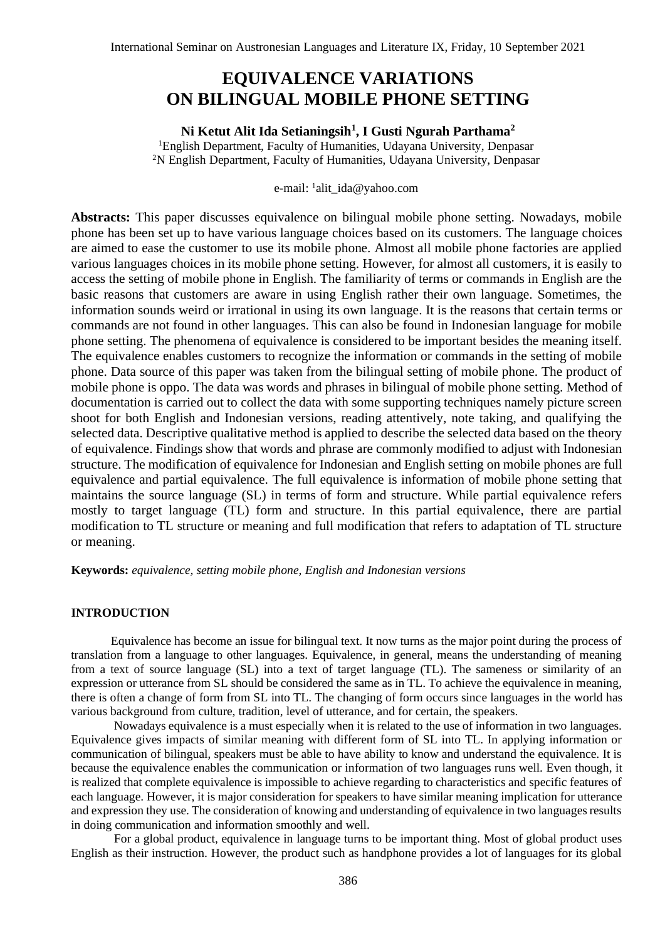# **EQUIVALENCE VARIATIONS ON BILINGUAL MOBILE PHONE SETTING**

# **Ni Ketut Alit Ida Setianingsih<sup>1</sup> , I Gusti Ngurah Parthama<sup>2</sup>**

<sup>1</sup>English Department, Faculty of Humanities, Udayana University, Denpasar <sup>2</sup>N English Department, Faculty of Humanities, Udayana University, Denpasar

# e-mail: <sup>1</sup>alit\_ida@yahoo.com

**Abstracts:** This paper discusses equivalence on bilingual mobile phone setting. Nowadays, mobile phone has been set up to have various language choices based on its customers. The language choices are aimed to ease the customer to use its mobile phone. Almost all mobile phone factories are applied various languages choices in its mobile phone setting. However, for almost all customers, it is easily to access the setting of mobile phone in English. The familiarity of terms or commands in English are the basic reasons that customers are aware in using English rather their own language. Sometimes, the information sounds weird or irrational in using its own language. It is the reasons that certain terms or commands are not found in other languages. This can also be found in Indonesian language for mobile phone setting. The phenomena of equivalence is considered to be important besides the meaning itself. The equivalence enables customers to recognize the information or commands in the setting of mobile phone. Data source of this paper was taken from the bilingual setting of mobile phone. The product of mobile phone is oppo. The data was words and phrases in bilingual of mobile phone setting. Method of documentation is carried out to collect the data with some supporting techniques namely picture screen shoot for both English and Indonesian versions, reading attentively, note taking, and qualifying the selected data. Descriptive qualitative method is applied to describe the selected data based on the theory of equivalence. Findings show that words and phrase are commonly modified to adjust with Indonesian structure. The modification of equivalence for Indonesian and English setting on mobile phones are full equivalence and partial equivalence. The full equivalence is information of mobile phone setting that maintains the source language (SL) in terms of form and structure. While partial equivalence refers mostly to target language (TL) form and structure. In this partial equivalence, there are partial modification to TL structure or meaning and full modification that refers to adaptation of TL structure or meaning.

**Keywords:** *equivalence, setting mobile phone, English and Indonesian versions*

# **INTRODUCTION**

Equivalence has become an issue for bilingual text. It now turns as the major point during the process of translation from a language to other languages. Equivalence, in general, means the understanding of meaning from a text of source language (SL) into a text of target language (TL). The sameness or similarity of an expression or utterance from SL should be considered the same as in TL. To achieve the equivalence in meaning, there is often a change of form from SL into TL. The changing of form occurs since languages in the world has various background from culture, tradition, level of utterance, and for certain, the speakers.

Nowadays equivalence is a must especially when it is related to the use of information in two languages. Equivalence gives impacts of similar meaning with different form of SL into TL. In applying information or communication of bilingual, speakers must be able to have ability to know and understand the equivalence. It is because the equivalence enables the communication or information of two languages runs well. Even though, it is realized that complete equivalence is impossible to achieve regarding to characteristics and specific features of each language. However, it is major consideration for speakers to have similar meaning implication for utterance and expression they use. The consideration of knowing and understanding of equivalence in two languages results in doing communication and information smoothly and well.

For a global product, equivalence in language turns to be important thing. Most of global product uses English as their instruction. However, the product such as handphone provides a lot of languages for its global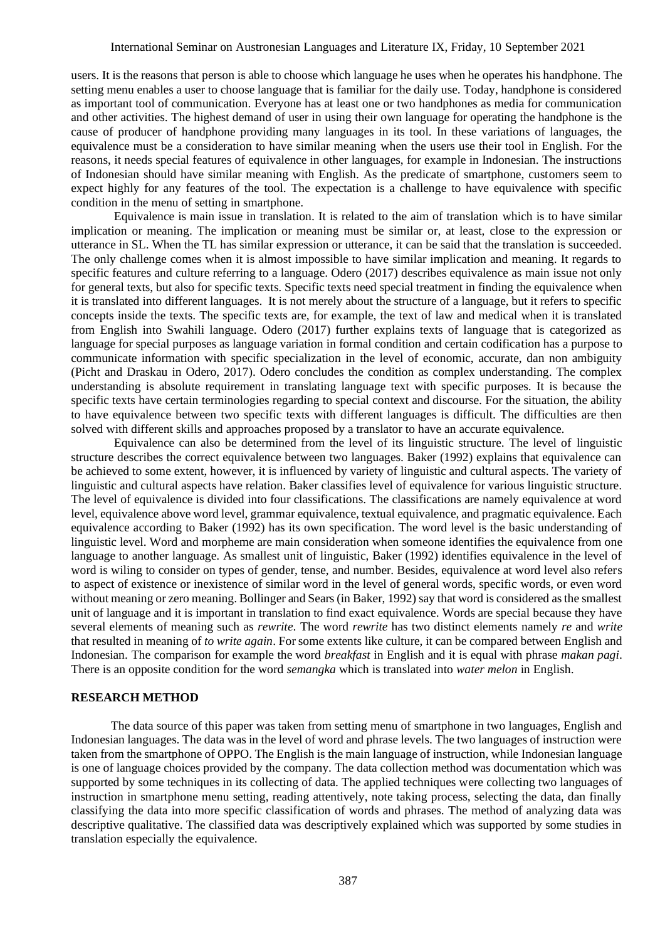users. It is the reasons that person is able to choose which language he uses when he operates his handphone. The setting menu enables a user to choose language that is familiar for the daily use. Today, handphone is considered as important tool of communication. Everyone has at least one or two handphones as media for communication and other activities. The highest demand of user in using their own language for operating the handphone is the cause of producer of handphone providing many languages in its tool. In these variations of languages, the equivalence must be a consideration to have similar meaning when the users use their tool in English. For the reasons, it needs special features of equivalence in other languages, for example in Indonesian. The instructions of Indonesian should have similar meaning with English. As the predicate of smartphone, customers seem to expect highly for any features of the tool. The expectation is a challenge to have equivalence with specific condition in the menu of setting in smartphone.

Equivalence is main issue in translation. It is related to the aim of translation which is to have similar implication or meaning. The implication or meaning must be similar or, at least, close to the expression or utterance in SL. When the TL has similar expression or utterance, it can be said that the translation is succeeded. The only challenge comes when it is almost impossible to have similar implication and meaning. It regards to specific features and culture referring to a language. Odero (2017) describes equivalence as main issue not only for general texts, but also for specific texts. Specific texts need special treatment in finding the equivalence when it is translated into different languages. It is not merely about the structure of a language, but it refers to specific concepts inside the texts. The specific texts are, for example, the text of law and medical when it is translated from English into Swahili language. Odero (2017) further explains texts of language that is categorized as language for special purposes as language variation in formal condition and certain codification has a purpose to communicate information with specific specialization in the level of economic, accurate, dan non ambiguity (Picht and Draskau in Odero, 2017). Odero concludes the condition as complex understanding. The complex understanding is absolute requirement in translating language text with specific purposes. It is because the specific texts have certain terminologies regarding to special context and discourse. For the situation, the ability to have equivalence between two specific texts with different languages is difficult. The difficulties are then solved with different skills and approaches proposed by a translator to have an accurate equivalence.

Equivalence can also be determined from the level of its linguistic structure. The level of linguistic structure describes the correct equivalence between two languages. Baker (1992) explains that equivalence can be achieved to some extent, however, it is influenced by variety of linguistic and cultural aspects. The variety of linguistic and cultural aspects have relation. Baker classifies level of equivalence for various linguistic structure. The level of equivalence is divided into four classifications. The classifications are namely equivalence at word level, equivalence above word level, grammar equivalence, textual equivalence, and pragmatic equivalence. Each equivalence according to Baker (1992) has its own specification. The word level is the basic understanding of linguistic level. Word and morpheme are main consideration when someone identifies the equivalence from one language to another language. As smallest unit of linguistic, Baker (1992) identifies equivalence in the level of word is wiling to consider on types of gender, tense, and number. Besides, equivalence at word level also refers to aspect of existence or inexistence of similar word in the level of general words, specific words, or even word without meaning or zero meaning. Bollinger and Sears (in Baker, 1992) say that word is considered as the smallest unit of language and it is important in translation to find exact equivalence. Words are special because they have several elements of meaning such as *rewrite*. The word *rewrite* has two distinct elements namely *re* and *write* that resulted in meaning of *to write again*. For some extents like culture, it can be compared between English and Indonesian. The comparison for example the word *breakfast* in English and it is equal with phrase *makan pagi*. There is an opposite condition for the word *semangka* which is translated into *water melon* in English.

#### **RESEARCH METHOD**

The data source of this paper was taken from setting menu of smartphone in two languages, English and Indonesian languages. The data was in the level of word and phrase levels. The two languages of instruction were taken from the smartphone of OPPO. The English is the main language of instruction, while Indonesian language is one of language choices provided by the company. The data collection method was documentation which was supported by some techniques in its collecting of data. The applied techniques were collecting two languages of instruction in smartphone menu setting, reading attentively, note taking process, selecting the data, dan finally classifying the data into more specific classification of words and phrases. The method of analyzing data was descriptive qualitative. The classified data was descriptively explained which was supported by some studies in translation especially the equivalence.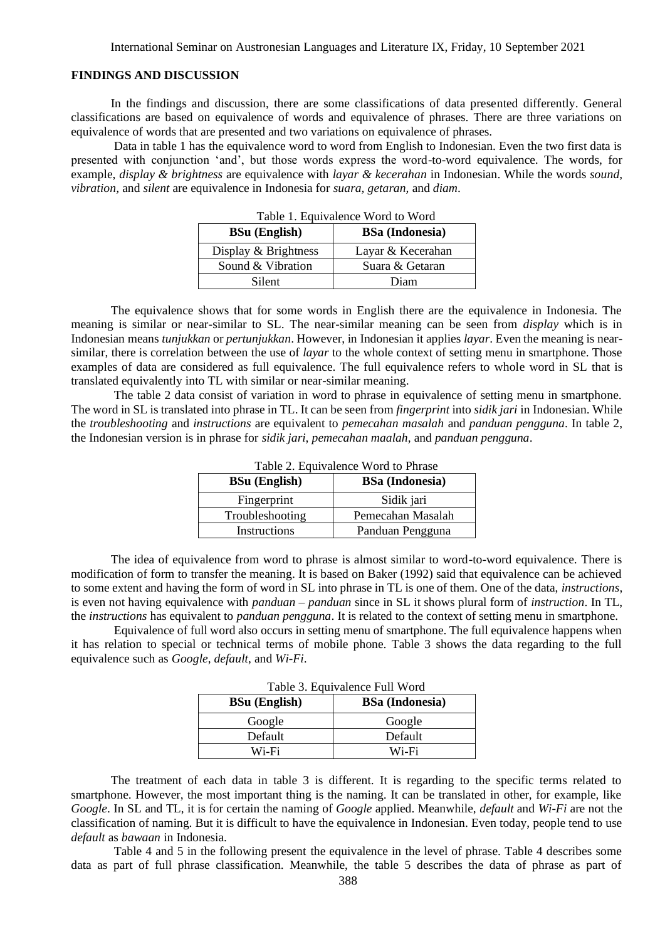# **FINDINGS AND DISCUSSION**

In the findings and discussion, there are some classifications of data presented differently. General classifications are based on equivalence of words and equivalence of phrases. There are three variations on equivalence of words that are presented and two variations on equivalence of phrases.

Data in table 1 has the equivalence word to word from English to Indonesian. Even the two first data is presented with conjunction 'and', but those words express the word-to-word equivalence. The words, for example, *display & brightness* are equivalence with *layar & kecerahan* in Indonesian. While the words *sound, vibration,* and *silent* are equivalence in Indonesia for *suara, getaran,* and *diam*.

| Table 1. Equivalence word to word |                        |
|-----------------------------------|------------------------|
| <b>BSu</b> (English)              | <b>BSa</b> (Indonesia) |
| Display & Brightness              | Layar & Kecerahan      |
| Sound & Vibration                 | Suara & Getaran        |
| Silent                            | Diam                   |

Table 1. Equivalence Word to Word

The equivalence shows that for some words in English there are the equivalence in Indonesia. The meaning is similar or near-similar to SL. The near-similar meaning can be seen from *display* which is in Indonesian means *tunjukkan* or *pertunjukkan*. However, in Indonesian it applies *layar*. Even the meaning is nearsimilar, there is correlation between the use of *layar* to the whole context of setting menu in smartphone. Those examples of data are considered as full equivalence. The full equivalence refers to whole word in SL that is translated equivalently into TL with similar or near-similar meaning.

The table 2 data consist of variation in word to phrase in equivalence of setting menu in smartphone. The word in SL is translated into phrase in TL. It can be seen from *fingerprint* into *sidik jari* in Indonesian. While the *troubleshooting* and *instructions* are equivalent to *pemecahan masalah* and *panduan pengguna*. In table 2, the Indonesian version is in phrase for *sidik jari*, *pemecahan maalah*, and *panduan pengguna*.

| Table 2. Equivalence word to Phrase |                        |
|-------------------------------------|------------------------|
| <b>BSu</b> (English)                | <b>BSa</b> (Indonesia) |
| Fingerprint                         | Sidik jari             |
| Troubleshooting                     | Pemecahan Masalah      |
| Instructions                        | Panduan Pengguna       |

 $T$  11  $\Delta$  F  $\pm$  1. Word to Phrase Word to Phrase Word to Phrase Word to Phrase Word to Phrase Word to Phrase Word to Phrase Word to Phrase Word to Phrase Word to Phrase Word to Phrase Word to Phrase Word to Phrase Word

The idea of equivalence from word to phrase is almost similar to word-to-word equivalence. There is modification of form to transfer the meaning. It is based on Baker (1992) said that equivalence can be achieved to some extent and having the form of word in SL into phrase in TL is one of them. One of the data, *instructions*, is even not having equivalence with *panduan – panduan* since in SL it shows plural form of *instruction*. In TL, the *instructions* has equivalent to *panduan pengguna*. It is related to the context of setting menu in smartphone.

Equivalence of full word also occurs in setting menu of smartphone. The full equivalence happens when it has relation to special or technical terms of mobile phone. Table 3 shows the data regarding to the full equivalence such as *Google*, *default*, and *Wi-Fi*.

| 1 AUIU UI LUMITAIVIIUU 1 MII 11 UIU |                        |  |
|-------------------------------------|------------------------|--|
| <b>BSu</b> (English)                | <b>BSa</b> (Indonesia) |  |
| Google                              | Google                 |  |
| Default                             | Default                |  |
| Wi-Fi                               | Wi-Fi                  |  |

Table 3. Equivalence Full Word

The treatment of each data in table 3 is different. It is regarding to the specific terms related to smartphone. However, the most important thing is the naming. It can be translated in other, for example, like *Google*. In SL and TL, it is for certain the naming of *Google* applied. Meanwhile, *default* and *Wi-Fi* are not the classification of naming. But it is difficult to have the equivalence in Indonesian. Even today, people tend to use *default* as *bawaan* in Indonesia.

Table 4 and 5 in the following present the equivalence in the level of phrase. Table 4 describes some data as part of full phrase classification. Meanwhile, the table 5 describes the data of phrase as part of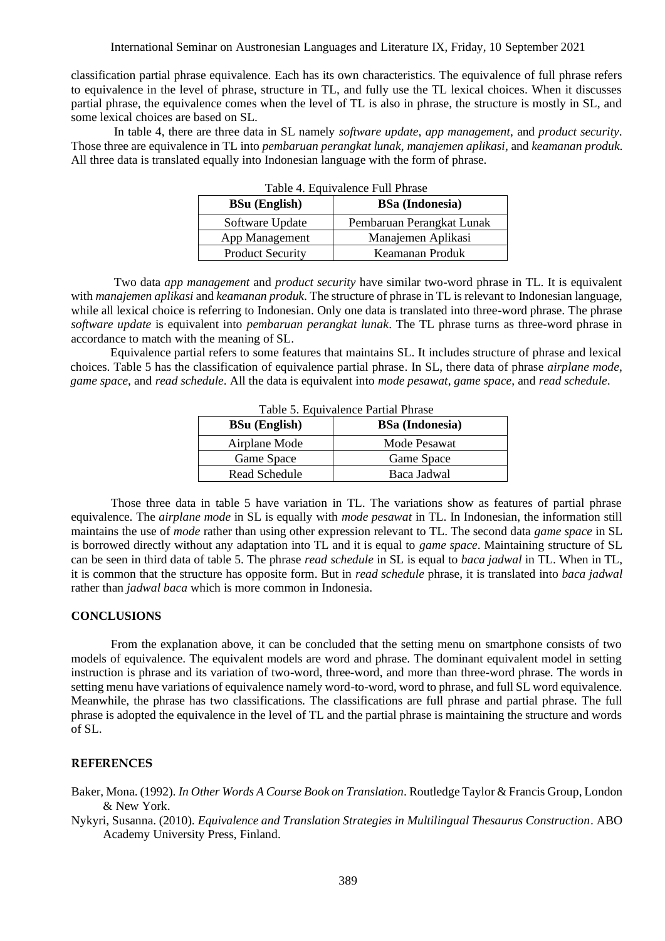classification partial phrase equivalence. Each has its own characteristics. The equivalence of full phrase refers to equivalence in the level of phrase, structure in TL, and fully use the TL lexical choices. When it discusses partial phrase, the equivalence comes when the level of TL is also in phrase, the structure is mostly in SL, and some lexical choices are based on SL.

In table 4, there are three data in SL namely *software update*, *app management*, and *product security*. Those three are equivalence in TL into *pembaruan perangkat lunak*, *manajemen aplikasi*, and *keamanan produk*. All three data is translated equally into Indonesian language with the form of phrase.

| Table 4. Equivalence Full Phrase |                           |
|----------------------------------|---------------------------|
| <b>BSu</b> (English)             | <b>BSa</b> (Indonesia)    |
| Software Update                  | Pembaruan Perangkat Lunak |
| App Management                   | Manajemen Aplikasi        |
| <b>Product Security</b>          | Keamanan Produk           |

Two data *app management* and *product security* have similar two-word phrase in TL. It is equivalent with *manajemen aplikasi* and *keamanan produk*. The structure of phrase in TL is relevant to Indonesian language, while all lexical choice is referring to Indonesian. Only one data is translated into three-word phrase. The phrase *software update* is equivalent into *pembaruan perangkat lunak*. The TL phrase turns as three-word phrase in accordance to match with the meaning of SL.

Equivalence partial refers to some features that maintains SL. It includes structure of phrase and lexical choices. Table 5 has the classification of equivalence partial phrase. In SL, there data of phrase *airplane mode*, *game space*, and *read schedule*. All the data is equivalent into *mode pesawat*, *game space*, and *read schedule*.

| Table 5. Equivalence Partial Phrase |                        |  |
|-------------------------------------|------------------------|--|
| <b>BSu</b> (English)                | <b>BSa</b> (Indonesia) |  |
| Airplane Mode                       | Mode Pesawat           |  |
| Game Space                          | Game Space             |  |
| Read Schedule                       | Baca Jadwal            |  |

Those three data in table 5 have variation in TL. The variations show as features of partial phrase equivalence. The *airplane mode* in SL is equally with *mode pesawat* in TL. In Indonesian, the information still maintains the use of *mode* rather than using other expression relevant to TL. The second data *game space* in SL is borrowed directly without any adaptation into TL and it is equal to *game space*. Maintaining structure of SL can be seen in third data of table 5. The phrase *read schedule* in SL is equal to *baca jadwal* in TL. When in TL, it is common that the structure has opposite form. But in *read schedule* phrase, it is translated into *baca jadwal* rather than *jadwal baca* which is more common in Indonesia.

# **CONCLUSIONS**

From the explanation above, it can be concluded that the setting menu on smartphone consists of two models of equivalence. The equivalent models are word and phrase. The dominant equivalent model in setting instruction is phrase and its variation of two-word, three-word, and more than three-word phrase. The words in setting menu have variations of equivalence namely word-to-word, word to phrase, and full SL word equivalence. Meanwhile, the phrase has two classifications. The classifications are full phrase and partial phrase. The full phrase is adopted the equivalence in the level of TL and the partial phrase is maintaining the structure and words of SL.

# **REFERENCES**

Baker, Mona. (1992). *In Other Words A Course Book on Translation*. Routledge Taylor & Francis Group, London & New York.

Nykyri, Susanna. (2010). *Equivalence and Translation Strategies in Multilingual Thesaurus Construction*. ABO Academy University Press, Finland.